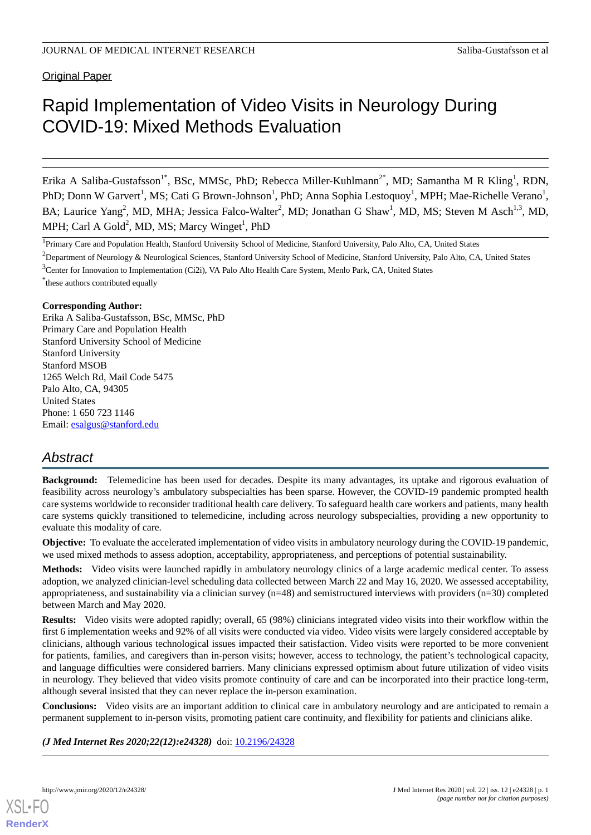**Original Paper** 

# Rapid Implementation of Video Visits in Neurology During COVID-19: Mixed Methods Evaluation

Erika A Saliba-Gustafsson<sup>1\*</sup>, BSc, MMSc, PhD; Rebecca Miller-Kuhlmann<sup>2\*</sup>, MD; Samantha M R Kling<sup>1</sup>, RDN, PhD; Donn W Garvert<sup>1</sup>, MS; Cati G Brown-Johnson<sup>1</sup>, PhD; Anna Sophia Lestoquoy<sup>1</sup>, MPH; Mae-Richelle Verano<sup>1</sup>, BA; Laurice Yang<sup>2</sup>, MD, MHA; Jessica Falco-Walter<sup>2</sup>, MD; Jonathan G Shaw<sup>1</sup>, MD, MS; Steven M Asch<sup>1,3</sup>, MD, MPH; Carl A Gold<sup>2</sup>, MD, MS; Marcy Winget<sup>1</sup>, PhD

<sup>1</sup>Primary Care and Population Health, Stanford University School of Medicine, Stanford University, Palo Alto, CA, United States

<sup>2</sup>Department of Neurology & Neurological Sciences, Stanford University School of Medicine, Stanford University, Palo Alto, CA, United States <sup>3</sup>Center for Innovation to Implementation (Ci2i), VA Palo Alto Health Care System, Menlo Park, CA, United States

\* these authors contributed equally

#### **Corresponding Author:**

Erika A Saliba-Gustafsson, BSc, MMSc, PhD Primary Care and Population Health Stanford University School of Medicine Stanford University Stanford MSOB 1265 Welch Rd, Mail Code 5475 Palo Alto, CA, 94305 United States Phone: 1 650 723 1146 Email: [esalgus@stanford.edu](mailto:esalgus@stanford.edu)

# *Abstract*

**Background:** Telemedicine has been used for decades. Despite its many advantages, its uptake and rigorous evaluation of feasibility across neurology's ambulatory subspecialties has been sparse. However, the COVID-19 pandemic prompted health care systems worldwide to reconsider traditional health care delivery. To safeguard health care workers and patients, many health care systems quickly transitioned to telemedicine, including across neurology subspecialties, providing a new opportunity to evaluate this modality of care.

**Objective:** To evaluate the accelerated implementation of video visits in ambulatory neurology during the COVID-19 pandemic, we used mixed methods to assess adoption, acceptability, appropriateness, and perceptions of potential sustainability.

**Methods:** Video visits were launched rapidly in ambulatory neurology clinics of a large academic medical center. To assess adoption, we analyzed clinician-level scheduling data collected between March 22 and May 16, 2020. We assessed acceptability, appropriateness, and sustainability via a clinician survey  $(n=48)$  and semistructured interviews with providers  $(n=30)$  completed between March and May 2020.

**Results:** Video visits were adopted rapidly; overall, 65 (98%) clinicians integrated video visits into their workflow within the first 6 implementation weeks and 92% of all visits were conducted via video. Video visits were largely considered acceptable by clinicians, although various technological issues impacted their satisfaction. Video visits were reported to be more convenient for patients, families, and caregivers than in-person visits; however, access to technology, the patient's technological capacity, and language difficulties were considered barriers. Many clinicians expressed optimism about future utilization of video visits in neurology. They believed that video visits promote continuity of care and can be incorporated into their practice long-term, although several insisted that they can never replace the in-person examination.

**Conclusions:** Video visits are an important addition to clinical care in ambulatory neurology and are anticipated to remain a permanent supplement to in-person visits, promoting patient care continuity, and flexibility for patients and clinicians alike.

*(J Med Internet Res 2020;22(12):e24328)* doi: [10.2196/24328](http://dx.doi.org/10.2196/24328)

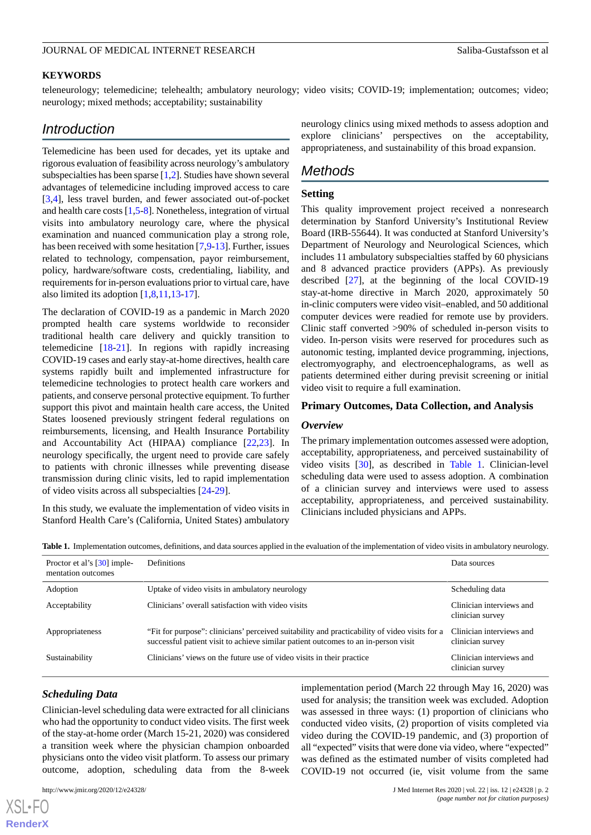#### **KEYWORDS**

teleneurology; telemedicine; telehealth; ambulatory neurology; video visits; COVID-19; implementation; outcomes; video; neurology; mixed methods; acceptability; sustainability

# *Introduction*

Telemedicine has been used for decades, yet its uptake and rigorous evaluation of feasibility across neurology's ambulatory subspecialties has been sparse [\[1](#page-8-0)[,2](#page-8-1)]. Studies have shown several advantages of telemedicine including improved access to care [[3](#page-8-2)[,4](#page-8-3)], less travel burden, and fewer associated out-of-pocket and health care costs [[1](#page-8-0)[,5](#page-8-4)-[8\]](#page-8-5). Nonetheless, integration of virtual visits into ambulatory neurology care, where the physical examination and nuanced communication play a strong role, has been received with some hesitation [[7,](#page-8-6)[9](#page-8-7)-[13\]](#page-9-0). Further, issues related to technology, compensation, payor reimbursement, policy, hardware/software costs, credentialing, liability, and requirements for in-person evaluations prior to virtual care, have also limited its adoption [[1,](#page-8-0)[8](#page-8-5),[11,](#page-9-1)[13](#page-9-0)-[17\]](#page-9-2).

The declaration of COVID-19 as a pandemic in March 2020 prompted health care systems worldwide to reconsider traditional health care delivery and quickly transition to telemedicine [[18-](#page-9-3)[21](#page-9-4)]. In regions with rapidly increasing COVID-19 cases and early stay-at-home directives, health care systems rapidly built and implemented infrastructure for telemedicine technologies to protect health care workers and patients, and conserve personal protective equipment. To further support this pivot and maintain health care access, the United States loosened previously stringent federal regulations on reimbursements, licensing, and Health Insurance Portability and Accountability Act (HIPAA) compliance [[22,](#page-9-5)[23](#page-9-6)]. In neurology specifically, the urgent need to provide care safely to patients with chronic illnesses while preventing disease transmission during clinic visits, led to rapid implementation of video visits across all subspecialties [\[24](#page-9-7)[-29](#page-9-8)].

<span id="page-1-0"></span>In this study, we evaluate the implementation of video visits in Stanford Health Care's (California, United States) ambulatory neurology clinics using mixed methods to assess adoption and explore clinicians' perspectives on the acceptability, appropriateness, and sustainability of this broad expansion.

# *Methods*

### **Setting**

This quality improvement project received a nonresearch determination by Stanford University's Institutional Review Board (IRB-55644). It was conducted at Stanford University's Department of Neurology and Neurological Sciences, which includes 11 ambulatory subspecialties staffed by 60 physicians and 8 advanced practice providers (APPs). As previously described [\[27](#page-9-9)], at the beginning of the local COVID-19 stay-at-home directive in March 2020, approximately 50 in-clinic computers were video visit–enabled, and 50 additional computer devices were readied for remote use by providers. Clinic staff converted >90% of scheduled in-person visits to video. In-person visits were reserved for procedures such as autonomic testing, implanted device programming, injections, electromyography, and electroencephalograms, as well as patients determined either during previsit screening or initial video visit to require a full examination.

#### **Primary Outcomes, Data Collection, and Analysis**

#### *Overview*

The primary implementation outcomes assessed were adoption, acceptability, appropriateness, and perceived sustainability of video visits [\[30](#page-9-10)], as described in [Table 1.](#page-1-0) Clinician-level scheduling data were used to assess adoption. A combination of a clinician survey and interviews were used to assess acceptability, appropriateness, and perceived sustainability. Clinicians included physicians and APPs.

**Table 1.** Implementation outcomes, definitions, and data sources applied in the evaluation of the implementation of video visits in ambulatory neurology.

| Proctor et al's [30] imple-<br>mentation outcomes | Definitions                                                                                                                                                                         | Data sources                                 |
|---------------------------------------------------|-------------------------------------------------------------------------------------------------------------------------------------------------------------------------------------|----------------------------------------------|
| Adoption                                          | Uptake of video visits in ambulatory neurology                                                                                                                                      | Scheduling data                              |
| Acceptability                                     | Clinicians' overall satisfaction with video visits                                                                                                                                  | Clinician interviews and<br>clinician survey |
| Appropriateness                                   | "Fit for purpose": clinicians' perceived suitability and practicability of video visits for a<br>successful patient visit to achieve similar patient outcomes to an in-person visit | Clinician interviews and<br>clinician survey |
| Sustainability                                    | Clinicians' views on the future use of video visits in their practice                                                                                                               | Clinician interviews and<br>clinician survey |

#### *Scheduling Data*

Clinician-level scheduling data were extracted for all clinicians who had the opportunity to conduct video visits. The first week of the stay-at-home order (March 15-21, 2020) was considered a transition week where the physician champion onboarded physicians onto the video visit platform. To assess our primary outcome, adoption, scheduling data from the 8-week

[XSL](http://www.w3.org/Style/XSL)•FO **[RenderX](http://www.renderx.com/)**

implementation period (March 22 through May 16, 2020) was used for analysis; the transition week was excluded. Adoption was assessed in three ways: (1) proportion of clinicians who conducted video visits, (2) proportion of visits completed via video during the COVID-19 pandemic, and (3) proportion of all "expected" visits that were done via video, where "expected" was defined as the estimated number of visits completed had COVID-19 not occurred (ie, visit volume from the same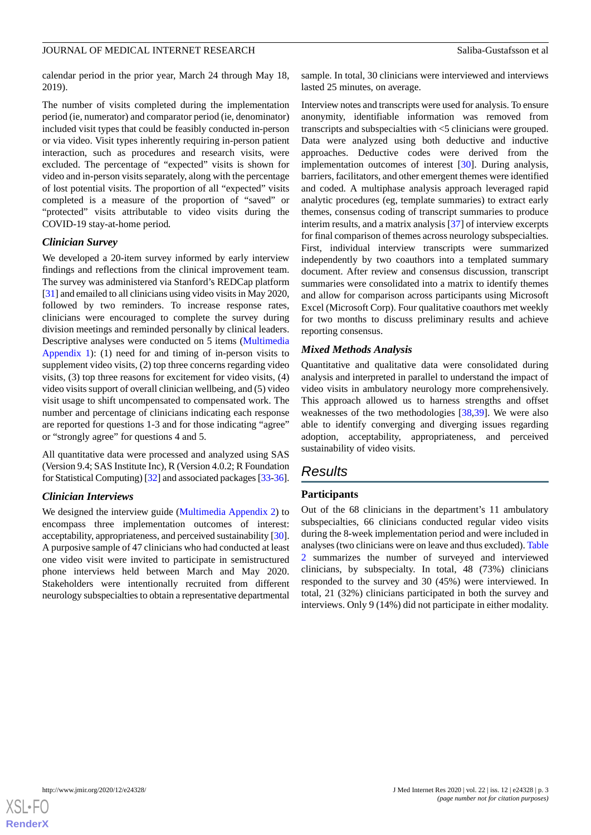calendar period in the prior year, March 24 through May 18, 2019).

The number of visits completed during the implementation period (ie, numerator) and comparator period (ie, denominator) included visit types that could be feasibly conducted in-person or via video. Visit types inherently requiring in-person patient interaction, such as procedures and research visits, were excluded. The percentage of "expected" visits is shown for video and in-person visits separately, along with the percentage of lost potential visits. The proportion of all "expected" visits completed is a measure of the proportion of "saved" or "protected" visits attributable to video visits during the COVID-19 stay-at-home period*.*

#### *Clinician Survey*

We developed a 20-item survey informed by early interview findings and reflections from the clinical improvement team. The survey was administered via Stanford's REDCap platform [[31\]](#page-9-11) and emailed to all clinicians using video visits in May 2020, followed by two reminders. To increase response rates, clinicians were encouraged to complete the survey during division meetings and reminded personally by clinical leaders. Descriptive analyses were conducted on 5 items ([Multimedia](#page-8-8) [Appendix 1](#page-8-8)): (1) need for and timing of in-person visits to supplement video visits, (2) top three concerns regarding video visits, (3) top three reasons for excitement for video visits, (4) video visits support of overall clinician wellbeing, and (5) video visit usage to shift uncompensated to compensated work. The number and percentage of clinicians indicating each response are reported for questions 1-3 and for those indicating "agree" or "strongly agree" for questions 4 and 5.

All quantitative data were processed and analyzed using SAS (Version 9.4; SAS Institute Inc), R (Version 4.0.2; R Foundation for Statistical Computing) [[32\]](#page-9-12) and associated packages [\[33](#page-9-13)[-36\]](#page-10-0).

# *Clinician Interviews*

We designed the interview guide ([Multimedia Appendix 2\)](#page-8-9) to encompass three implementation outcomes of interest: acceptability, appropriateness, and perceived sustainability [\[30\]](#page-9-10). A purposive sample of 47 clinicians who had conducted at least one video visit were invited to participate in semistructured phone interviews held between March and May 2020. Stakeholders were intentionally recruited from different neurology subspecialties to obtain a representative departmental sample. In total, 30 clinicians were interviewed and interviews lasted 25 minutes, on average.

Interview notes and transcripts were used for analysis. To ensure anonymity, identifiable information was removed from transcripts and subspecialties with <5 clinicians were grouped. Data were analyzed using both deductive and inductive approaches. Deductive codes were derived from the implementation outcomes of interest [\[30](#page-9-10)]. During analysis, barriers, facilitators, and other emergent themes were identified and coded. A multiphase analysis approach leveraged rapid analytic procedures (eg, template summaries) to extract early themes, consensus coding of transcript summaries to produce interim results, and a matrix analysis [\[37](#page-10-1)] of interview excerpts for final comparison of themes across neurology subspecialties. First, individual interview transcripts were summarized independently by two coauthors into a templated summary document. After review and consensus discussion, transcript summaries were consolidated into a matrix to identify themes and allow for comparison across participants using Microsoft Excel (Microsoft Corp). Four qualitative coauthors met weekly for two months to discuss preliminary results and achieve reporting consensus.

# *Mixed Methods Analysis*

Quantitative and qualitative data were consolidated during analysis and interpreted in parallel to understand the impact of video visits in ambulatory neurology more comprehensively. This approach allowed us to harness strengths and offset weaknesses of the two methodologies [\[38](#page-10-2),[39\]](#page-10-3). We were also able to identify converging and diverging issues regarding adoption, acceptability, appropriateness, and perceived sustainability of video visits.

# *Results*

# **Participants**

Out of the 68 clinicians in the department's 11 ambulatory subspecialties, 66 clinicians conducted regular video visits during the 8-week implementation period and were included in analyses (two clinicians were on leave and thus excluded). [Table](#page-3-0) [2](#page-3-0) summarizes the number of surveyed and interviewed clinicians, by subspecialty. In total, 48 (73%) clinicians responded to the survey and 30 (45%) were interviewed. In total, 21 (32%) clinicians participated in both the survey and interviews. Only 9 (14%) did not participate in either modality.

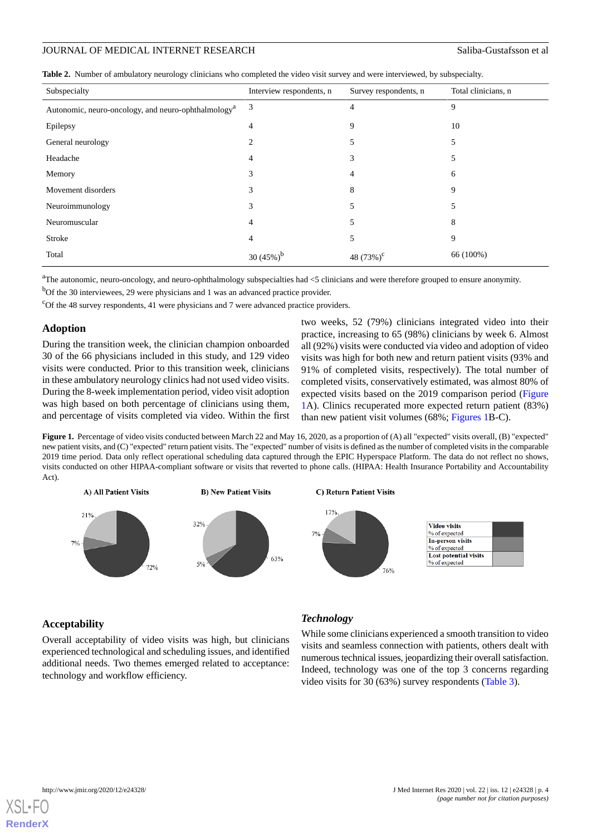<span id="page-3-0"></span>

|  |  |  |  |  | Table 2. Number of ambulatory neurology clinicians who completed the video visit survey and were interviewed, by subspecialty. |
|--|--|--|--|--|--------------------------------------------------------------------------------------------------------------------------------|
|--|--|--|--|--|--------------------------------------------------------------------------------------------------------------------------------|

| Subspecialty                                                    | Interview respondents, n | Survey respondents, n | Total clinicians, n |
|-----------------------------------------------------------------|--------------------------|-----------------------|---------------------|
| Autonomic, neuro-oncology, and neuro-ophthalmology <sup>a</sup> | 3                        | 4                     | 9                   |
| Epilepsy                                                        | 4                        | 9                     | 10                  |
| General neurology                                               | 2                        | 5                     | 5                   |
| Headache                                                        | 4                        | 3                     | 5                   |
| Memory                                                          | 3                        | 4                     | 6                   |
| Movement disorders                                              | 3                        | 8                     | 9                   |
| Neuroimmunology                                                 | 3                        | 5                     | 5                   |
| Neuromuscular                                                   | 4                        | 5                     | 8                   |
| Stroke                                                          | 4                        | 5                     | 9                   |
| Total                                                           | 30 (45%)                 | 48 $(73%)^c$          | 66 (100%)           |

<sup>a</sup>The autonomic, neuro-oncology, and neuro-ophthalmology subspecialties had <5 clinicians and were therefore grouped to ensure anonymity.

<sup>b</sup>Of the 30 interviewees, 29 were physicians and 1 was an advanced practice provider.

<sup>c</sup>Of the 48 survey respondents, 41 were physicians and 7 were advanced practice providers.

# **Adoption**

During the transition week, the clinician champion onboarded 30 of the 66 physicians included in this study, and 129 video visits were conducted. Prior to this transition week, clinicians in these ambulatory neurology clinics had not used video visits. During the 8-week implementation period, video visit adoption was high based on both percentage of clinicians using them, and percentage of visits completed via video. Within the first two weeks, 52 (79%) clinicians integrated video into their practice, increasing to 65 (98%) clinicians by week 6. Almost all (92%) visits were conducted via video and adoption of video visits was high for both new and return patient visits (93% and 91% of completed visits, respectively). The total number of completed visits, conservatively estimated, was almost 80% of expected visits based on the 2019 comparison period ([Figure](#page-3-1) [1A](#page-3-1)). Clinics recuperated more expected return patient (83%) than new patient visit volumes (68%; [Figures 1](#page-3-1)B-C).

<span id="page-3-1"></span>**Figure 1.** Percentage of video visits conducted between March 22 and May 16, 2020, as a proportion of (A) all "expected" visits overall, (B) "expected" new patient visits, and (C) "expected" return patient visits. The "expected" number of visits is defined as the number of completed visits in the comparable 2019 time period. Data only reflect operational scheduling data captured through the EPIC Hyperspace Platform. The data do not reflect no shows, visits conducted on other HIPAA-compliant software or visits that reverted to phone calls. (HIPAA: Health Insurance Portability and Accountability Act).



# **Acceptability**

Overall acceptability of video visits was high, but clinicians experienced technological and scheduling issues, and identified additional needs. Two themes emerged related to acceptance: technology and workflow efficiency.

# *Technology*

While some clinicians experienced a smooth transition to video visits and seamless connection with patients, others dealt with numerous technical issues, jeopardizing their overall satisfaction. Indeed, technology was one of the top 3 concerns regarding video visits for 30 (63%) survey respondents ([Table 3](#page-4-0)).

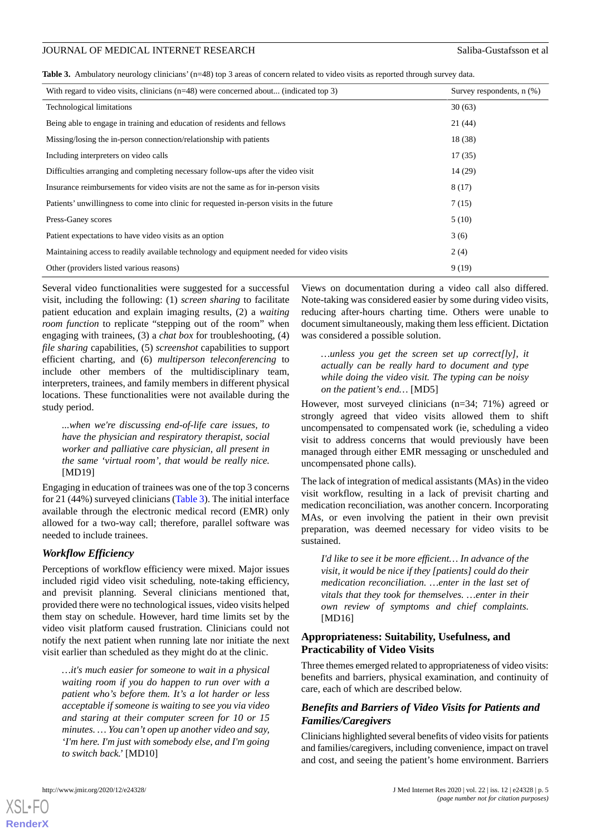<span id="page-4-0"></span>

| Table 3. Ambulatory neurology clinicians' (n=48) top 3 areas of concern related to video visits as reported through survey data. |  |  |
|----------------------------------------------------------------------------------------------------------------------------------|--|--|
|----------------------------------------------------------------------------------------------------------------------------------|--|--|

| With regard to video visits, clinicians (n=48) were concerned about (indicated top 3)    | Survey respondents, $n$ $(\%)$ |
|------------------------------------------------------------------------------------------|--------------------------------|
| <b>Technological limitations</b>                                                         | 30(63)                         |
| Being able to engage in training and education of residents and fellows                  | 21(44)                         |
| Missing/losing the in-person connection/relationship with patients                       | 18(38)                         |
| Including interpreters on video calls                                                    | 17(35)                         |
| Difficulties arranging and completing necessary follow-ups after the video visit         | 14(29)                         |
| Insurance reimbursements for video visits are not the same as for in-person visits       | 8(17)                          |
| Patients' unwillingness to come into clinic for requested in-person visits in the future | 7(15)                          |
| Press-Ganey scores                                                                       | 5(10)                          |
| Patient expectations to have video visits as an option                                   | 3(6)                           |
| Maintaining access to readily available technology and equipment needed for video visits | 2(4)                           |
| Other (providers listed various reasons)                                                 | 9(19)                          |

Several video functionalities were suggested for a successful visit, including the following: (1) *screen sharing* to facilitate patient education and explain imaging results, (2) a *waiting room function* to replicate "stepping out of the room" when engaging with trainees, (3) a *chat box* for troubleshooting, (4) *file sharing* capabilities, (5) *screenshot* capabilities to support efficient charting, and (6) *multiperson teleconferencing* to include other members of the multidisciplinary team, interpreters, trainees, and family members in different physical locations. These functionalities were not available during the study period.

*...when we're discussing end-of-life care issues, to have the physician and respiratory therapist, social worker and palliative care physician, all present in the same 'virtual room', that would be really nice.* [MD19]

Engaging in education of trainees was one of the top 3 concerns for 21 (44%) surveyed clinicians ([Table 3\)](#page-4-0). The initial interface available through the electronic medical record (EMR) only allowed for a two-way call; therefore, parallel software was needed to include trainees.

# *Workflow Efficiency*

Perceptions of workflow efficiency were mixed. Major issues included rigid video visit scheduling, note-taking efficiency, and previsit planning. Several clinicians mentioned that, provided there were no technological issues, video visits helped them stay on schedule. However, hard time limits set by the video visit platform caused frustration. Clinicians could not notify the next patient when running late nor initiate the next visit earlier than scheduled as they might do at the clinic.

*…it's much easier for someone to wait in a physical waiting room if you do happen to run over with a patient who's before them. It's a lot harder or less acceptable if someone is waiting to see you via video and staring at their computer screen for 10 or 15 minutes. … You can't open up another video and say, 'I'm here. I'm just with somebody else, and I'm going to switch back.'* [MD10]

Views on documentation during a video call also differed. Note-taking was considered easier by some during video visits, reducing after-hours charting time. Others were unable to document simultaneously, making them less efficient. Dictation was considered a possible solution.

*…unless you get the screen set up correct[ly], it actually can be really hard to document and type while doing the video visit. The typing can be noisy on the patient's end…* [MD5]

However, most surveyed clinicians (n=34; 71%) agreed or strongly agreed that video visits allowed them to shift uncompensated to compensated work (ie, scheduling a video visit to address concerns that would previously have been managed through either EMR messaging or unscheduled and uncompensated phone calls).

The lack of integration of medical assistants (MAs) in the video visit workflow, resulting in a lack of previsit charting and medication reconciliation, was another concern. Incorporating MAs, or even involving the patient in their own previsit preparation, was deemed necessary for video visits to be sustained.

*I'd like to see it be more efficient… In advance of the visit, it would be nice if they [patients] could do their medication reconciliation. …enter in the last set of vitals that they took for themselves. …enter in their own review of symptoms and chief complaints.* [MD16]

## **Appropriateness: Suitability, Usefulness, and Practicability of Video Visits**

Three themes emerged related to appropriateness of video visits: benefits and barriers, physical examination, and continuity of care, each of which are described below.

# *Benefits and Barriers of Video Visits for Patients and Families/Caregivers*

Clinicians highlighted several benefits of video visits for patients and families/caregivers, including convenience, impact on travel and cost, and seeing the patient's home environment. Barriers

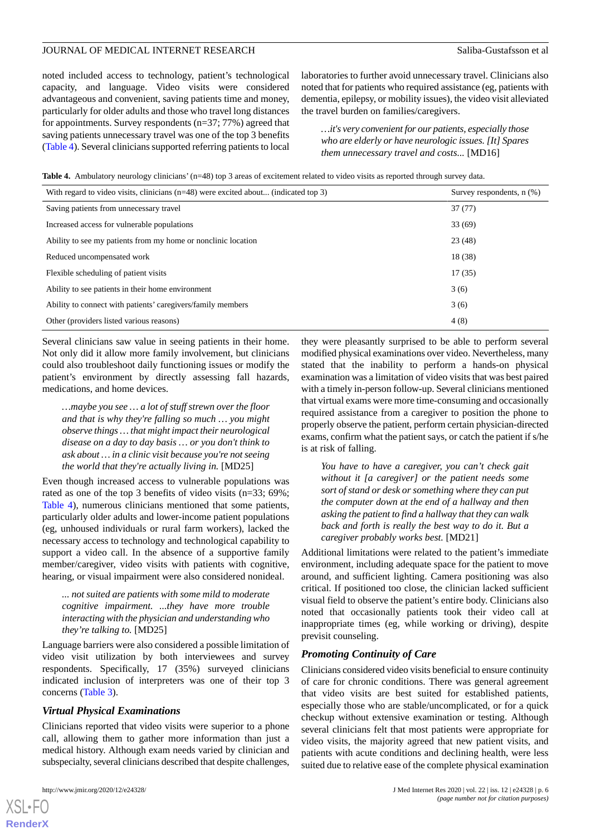noted included access to technology, patient's technological capacity, and language. Video visits were considered advantageous and convenient, saving patients time and money, particularly for older adults and those who travel long distances for appointments. Survey respondents (n=37; 77%) agreed that saving patients unnecessary travel was one of the top 3 benefits ([Table 4](#page-5-0)). Several clinicians supported referring patients to local laboratories to further avoid unnecessary travel. Clinicians also noted that for patients who required assistance (eg, patients with dementia, epilepsy, or mobility issues), the video visit alleviated the travel burden on families/caregivers.

*…it's very convenient for our patients, especially those who are elderly or have neurologic issues. [It] Spares them unnecessary travel and costs...* [MD16]

<span id="page-5-0"></span>**Table 4.** Ambulatory neurology clinicians' (n=48) top 3 areas of excitement related to video visits as reported through survey data.

| With regard to video visits, clinicians $(n=48)$ were excited about (indicated top 3) | Survey respondents, $n$ $(\%)$ |
|---------------------------------------------------------------------------------------|--------------------------------|
| Saving patients from unnecessary travel                                               | 37(77)                         |
| Increased access for vulnerable populations                                           | 33(69)                         |
| Ability to see my patients from my home or nonclinic location                         | 23(48)                         |
| Reduced uncompensated work                                                            | 18 (38)                        |
| Flexible scheduling of patient visits                                                 | 17(35)                         |
| Ability to see patients in their home environment                                     | 3(6)                           |
| Ability to connect with patients' caregivers/family members                           | 3(6)                           |
| Other (providers listed various reasons)                                              | 4(8)                           |

Several clinicians saw value in seeing patients in their home. Not only did it allow more family involvement, but clinicians could also troubleshoot daily functioning issues or modify the patient's environment by directly assessing fall hazards, medications, and home devices.

*…maybe you see … a lot of stuff strewn over the floor and that is why they're falling so much … you might observe things … that might impact their neurological disease on a day to day basis … or you don't think to ask about … in a clinic visit because you're not seeing the world that they're actually living in.* [MD25]

Even though increased access to vulnerable populations was rated as one of the top 3 benefits of video visits (n=33; 69%; [Table 4](#page-5-0)), numerous clinicians mentioned that some patients, particularly older adults and lower-income patient populations (eg, unhoused individuals or rural farm workers), lacked the necessary access to technology and technological capability to support a video call. In the absence of a supportive family member/caregiver, video visits with patients with cognitive, hearing, or visual impairment were also considered nonideal.

*... not suited are patients with some mild to moderate cognitive impairment. ...they have more trouble interacting with the physician and understanding who they're talking to.* [MD25]

Language barriers were also considered a possible limitation of video visit utilization by both interviewees and survey respondents. Specifically, 17 (35%) surveyed clinicians indicated inclusion of interpreters was one of their top 3 concerns ([Table 3](#page-4-0)).

#### *Virtual Physical Examinations*

Clinicians reported that video visits were superior to a phone call, allowing them to gather more information than just a medical history. Although exam needs varied by clinician and subspecialty, several clinicians described that despite challenges,

they were pleasantly surprised to be able to perform several modified physical examinations over video. Nevertheless, many stated that the inability to perform a hands-on physical examination was a limitation of video visits that was best paired with a timely in-person follow-up. Several clinicians mentioned that virtual exams were more time-consuming and occasionally required assistance from a caregiver to position the phone to properly observe the patient, perform certain physician-directed exams, confirm what the patient says, or catch the patient if s/he is at risk of falling.

*You have to have a caregiver, you can't check gait without it [a caregiver] or the patient needs some sort of stand or desk or something where they can put the computer down at the end of a hallway and then asking the patient to find a hallway that they can walk back and forth is really the best way to do it. But a caregiver probably works best.* [MD21]

Additional limitations were related to the patient's immediate environment, including adequate space for the patient to move around, and sufficient lighting. Camera positioning was also critical. If positioned too close, the clinician lacked sufficient visual field to observe the patient's entire body. Clinicians also noted that occasionally patients took their video call at inappropriate times (eg, while working or driving), despite previsit counseling.

#### *Promoting Continuity of Care*

Clinicians considered video visits beneficial to ensure continuity of care for chronic conditions. There was general agreement that video visits are best suited for established patients, especially those who are stable/uncomplicated, or for a quick checkup without extensive examination or testing. Although several clinicians felt that most patients were appropriate for video visits, the majority agreed that new patient visits, and patients with acute conditions and declining health, were less suited due to relative ease of the complete physical examination

```
XSL•FO
RenderX
```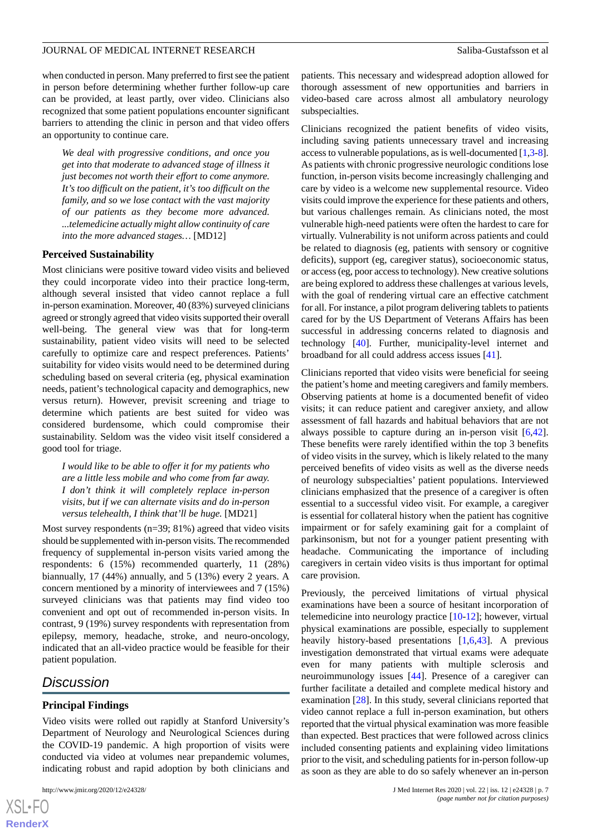when conducted in person. Many preferred to first see the patient in person before determining whether further follow-up care can be provided, at least partly, over video. Clinicians also recognized that some patient populations encounter significant barriers to attending the clinic in person and that video offers an opportunity to continue care.

*We deal with progressive conditions, and once you get into that moderate to advanced stage of illness it just becomes not worth their effort to come anymore. It's too difficult on the patient, it's too difficult on the family, and so we lose contact with the vast majority of our patients as they become more advanced. ...telemedicine actually might allow continuity of care into the more advanced stages…* [MD12]

#### **Perceived Sustainability**

Most clinicians were positive toward video visits and believed they could incorporate video into their practice long-term, although several insisted that video cannot replace a full in-person examination. Moreover, 40 (83%) surveyed clinicians agreed or strongly agreed that video visits supported their overall well-being. The general view was that for long-term sustainability, patient video visits will need to be selected carefully to optimize care and respect preferences. Patients' suitability for video visits would need to be determined during scheduling based on several criteria (eg, physical examination needs, patient's technological capacity and demographics, new versus return). However, previsit screening and triage to determine which patients are best suited for video was considered burdensome, which could compromise their sustainability. Seldom was the video visit itself considered a good tool for triage.

*I would like to be able to offer it for my patients who are a little less mobile and who come from far away. I don't think it will completely replace in-person visits, but if we can alternate visits and do in-person versus telehealth, I think that'll be huge.* [MD21]

Most survey respondents ( $n=39$ ; 81%) agreed that video visits should be supplemented with in-person visits. The recommended frequency of supplemental in-person visits varied among the respondents: 6 (15%) recommended quarterly, 11 (28%) biannually, 17 (44%) annually, and 5 (13%) every 2 years. A concern mentioned by a minority of interviewees and 7 (15%) surveyed clinicians was that patients may find video too convenient and opt out of recommended in-person visits. In contrast, 9 (19%) survey respondents with representation from epilepsy, memory, headache, stroke, and neuro-oncology, indicated that an all-video practice would be feasible for their patient population.

# *Discussion*

 $XS$ -FO **[RenderX](http://www.renderx.com/)**

#### **Principal Findings**

Video visits were rolled out rapidly at Stanford University's Department of Neurology and Neurological Sciences during the COVID-19 pandemic. A high proportion of visits were conducted via video at volumes near prepandemic volumes, indicating robust and rapid adoption by both clinicians and

patients. This necessary and widespread adoption allowed for thorough assessment of new opportunities and barriers in video-based care across almost all ambulatory neurology subspecialties.

Clinicians recognized the patient benefits of video visits, including saving patients unnecessary travel and increasing access to vulnerable populations, as is well-documented [\[1](#page-8-0),[3-](#page-8-2)[8](#page-8-5)]. As patients with chronic progressive neurologic conditions lose function, in-person visits become increasingly challenging and care by video is a welcome new supplemental resource. Video visits could improve the experience for these patients and others, but various challenges remain. As clinicians noted, the most vulnerable high-need patients were often the hardest to care for virtually. Vulnerability is not uniform across patients and could be related to diagnosis (eg, patients with sensory or cognitive deficits), support (eg, caregiver status), socioeconomic status, or access (eg, poor access to technology). New creative solutions are being explored to address these challenges at various levels, with the goal of rendering virtual care an effective catchment for all. For instance, a pilot program delivering tablets to patients cared for by the US Department of Veterans Affairs has been successful in addressing concerns related to diagnosis and technology [[40\]](#page-10-4). Further, municipality-level internet and broadband for all could address access issues [[41\]](#page-10-5).

Clinicians reported that video visits were beneficial for seeing the patient's home and meeting caregivers and family members. Observing patients at home is a documented benefit of video visits; it can reduce patient and caregiver anxiety, and allow assessment of fall hazards and habitual behaviors that are not always possible to capture during an in-person visit [\[6](#page-8-10),[42\]](#page-10-6). These benefits were rarely identified within the top 3 benefits of video visits in the survey, which is likely related to the many perceived benefits of video visits as well as the diverse needs of neurology subspecialties' patient populations. Interviewed clinicians emphasized that the presence of a caregiver is often essential to a successful video visit. For example, a caregiver is essential for collateral history when the patient has cognitive impairment or for safely examining gait for a complaint of parkinsonism, but not for a younger patient presenting with headache. Communicating the importance of including caregivers in certain video visits is thus important for optimal care provision.

Previously, the perceived limitations of virtual physical examinations have been a source of hesitant incorporation of telemedicine into neurology practice [\[10](#page-9-14)-[12\]](#page-9-15); however, virtual physical examinations are possible, especially to supplement heavily history-based presentations [[1](#page-8-0),[6](#page-8-10)[,43](#page-10-7)]. A previous investigation demonstrated that virtual exams were adequate even for many patients with multiple sclerosis and neuroimmunology issues [\[44](#page-10-8)]. Presence of a caregiver can further facilitate a detailed and complete medical history and examination [[28\]](#page-9-16). In this study, several clinicians reported that video cannot replace a full in-person examination, but others reported that the virtual physical examination was more feasible than expected. Best practices that were followed across clinics included consenting patients and explaining video limitations prior to the visit, and scheduling patients for in-person follow-up as soon as they are able to do so safely whenever an in-person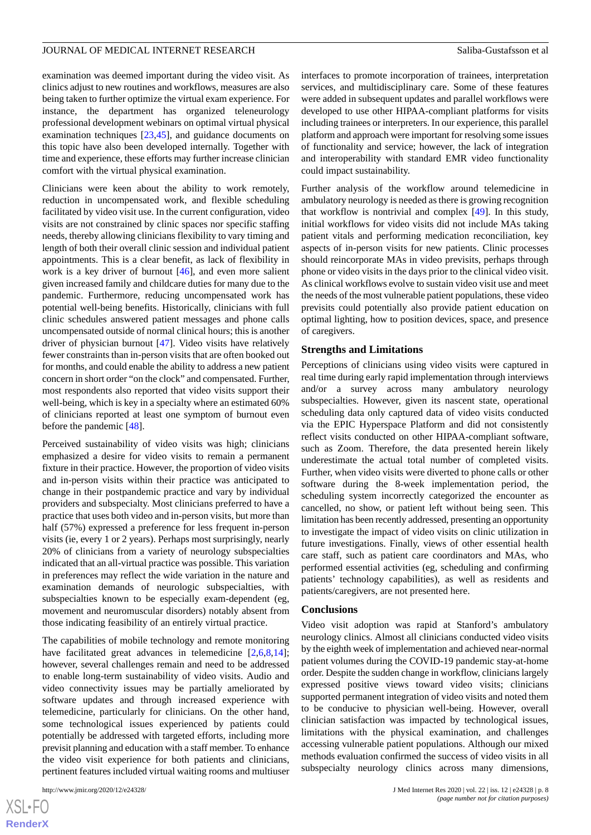examination was deemed important during the video visit. As clinics adjust to new routines and workflows, measures are also being taken to further optimize the virtual exam experience. For instance, the department has organized teleneurology professional development webinars on optimal virtual physical examination techniques [\[23](#page-9-6),[45\]](#page-10-9), and guidance documents on this topic have also been developed internally. Together with time and experience, these efforts may further increase clinician comfort with the virtual physical examination.

Clinicians were keen about the ability to work remotely, reduction in uncompensated work, and flexible scheduling facilitated by video visit use. In the current configuration, video visits are not constrained by clinic spaces nor specific staffing needs, thereby allowing clinicians flexibility to vary timing and length of both their overall clinic session and individual patient appointments. This is a clear benefit, as lack of flexibility in work is a key driver of burnout [[46\]](#page-10-10), and even more salient given increased family and childcare duties for many due to the pandemic. Furthermore, reducing uncompensated work has potential well-being benefits. Historically, clinicians with full clinic schedules answered patient messages and phone calls uncompensated outside of normal clinical hours; this is another driver of physician burnout [[47\]](#page-10-11). Video visits have relatively fewer constraints than in-person visits that are often booked out for months, and could enable the ability to address a new patient concern in short order "on the clock" and compensated. Further, most respondents also reported that video visits support their well-being, which is key in a specialty where an estimated 60% of clinicians reported at least one symptom of burnout even before the pandemic [[48\]](#page-10-12).

Perceived sustainability of video visits was high; clinicians emphasized a desire for video visits to remain a permanent fixture in their practice. However, the proportion of video visits and in-person visits within their practice was anticipated to change in their postpandemic practice and vary by individual providers and subspecialty. Most clinicians preferred to have a practice that uses both video and in-person visits, but more than half (57%) expressed a preference for less frequent in-person visits (ie, every 1 or 2 years). Perhaps most surprisingly, nearly 20% of clinicians from a variety of neurology subspecialties indicated that an all-virtual practice was possible. This variation in preferences may reflect the wide variation in the nature and examination demands of neurologic subspecialties, with subspecialties known to be especially exam-dependent (eg, movement and neuromuscular disorders) notably absent from those indicating feasibility of an entirely virtual practice.

The capabilities of mobile technology and remote monitoring have facilitated great advances in telemedicine [\[2](#page-8-1)[,6,](#page-8-10)[8](#page-8-5),[14\]](#page-9-17); however, several challenges remain and need to be addressed to enable long-term sustainability of video visits. Audio and video connectivity issues may be partially ameliorated by software updates and through increased experience with telemedicine, particularly for clinicians. On the other hand, some technological issues experienced by patients could potentially be addressed with targeted efforts, including more previsit planning and education with a staff member. To enhance the video visit experience for both patients and clinicians, pertinent features included virtual waiting rooms and multiuser

interfaces to promote incorporation of trainees, interpretation services, and multidisciplinary care. Some of these features were added in subsequent updates and parallel workflows were developed to use other HIPAA-compliant platforms for visits including trainees or interpreters. In our experience, this parallel platform and approach were important for resolving some issues of functionality and service; however, the lack of integration and interoperability with standard EMR video functionality could impact sustainability.

Further analysis of the workflow around telemedicine in ambulatory neurology is needed as there is growing recognition that workflow is nontrivial and complex [[49\]](#page-10-13). In this study, initial workflows for video visits did not include MAs taking patient vitals and performing medication reconciliation, key aspects of in-person visits for new patients. Clinic processes should reincorporate MAs in video previsits, perhaps through phone or video visits in the days prior to the clinical video visit. As clinical workflows evolve to sustain video visit use and meet the needs of the most vulnerable patient populations, these video previsits could potentially also provide patient education on optimal lighting, how to position devices, space, and presence of caregivers.

#### **Strengths and Limitations**

Perceptions of clinicians using video visits were captured in real time during early rapid implementation through interviews and/or a survey across many ambulatory neurology subspecialties. However, given its nascent state, operational scheduling data only captured data of video visits conducted via the EPIC Hyperspace Platform and did not consistently reflect visits conducted on other HIPAA-compliant software, such as Zoom. Therefore, the data presented herein likely underestimate the actual total number of completed visits. Further, when video visits were diverted to phone calls or other software during the 8-week implementation period, the scheduling system incorrectly categorized the encounter as cancelled, no show, or patient left without being seen. This limitation has been recently addressed, presenting an opportunity to investigate the impact of video visits on clinic utilization in future investigations. Finally, views of other essential health care staff, such as patient care coordinators and MAs, who performed essential activities (eg, scheduling and confirming patients' technology capabilities), as well as residents and patients/caregivers, are not presented here.

#### **Conclusions**

Video visit adoption was rapid at Stanford's ambulatory neurology clinics. Almost all clinicians conducted video visits by the eighth week of implementation and achieved near-normal patient volumes during the COVID-19 pandemic stay-at-home order. Despite the sudden change in workflow, clinicians largely expressed positive views toward video visits; clinicians supported permanent integration of video visits and noted them to be conducive to physician well-being. However, overall clinician satisfaction was impacted by technological issues, limitations with the physical examination, and challenges accessing vulnerable patient populations. Although our mixed methods evaluation confirmed the success of video visits in all subspecialty neurology clinics across many dimensions,

```
XSL•FO
RenderX
```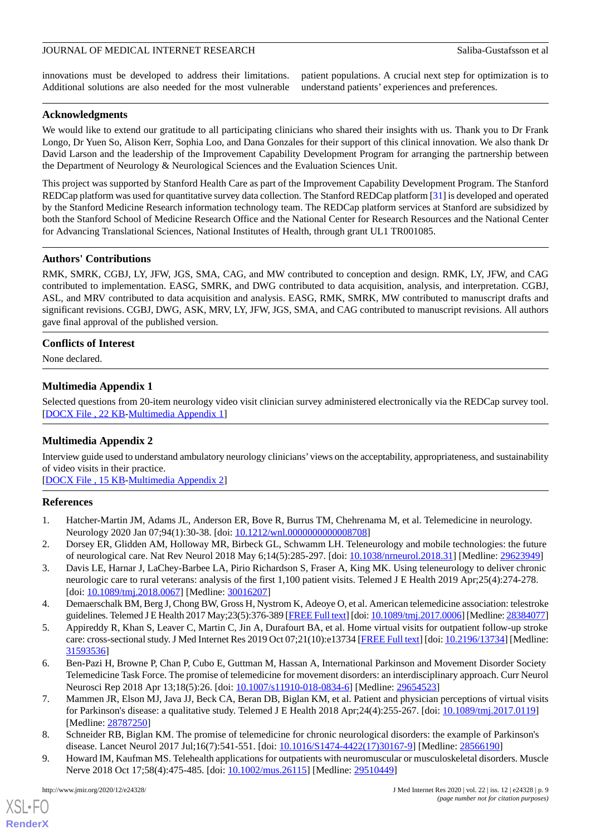innovations must be developed to address their limitations. Additional solutions are also needed for the most vulnerable patient populations. A crucial next step for optimization is to understand patients' experiences and preferences.

# **Acknowledgments**

We would like to extend our gratitude to all participating clinicians who shared their insights with us. Thank you to Dr Frank Longo, Dr Yuen So, Alison Kerr, Sophia Loo, and Dana Gonzales for their support of this clinical innovation. We also thank Dr David Larson and the leadership of the Improvement Capability Development Program for arranging the partnership between the Department of Neurology & Neurological Sciences and the Evaluation Sciences Unit.

This project was supported by Stanford Health Care as part of the Improvement Capability Development Program. The Stanford REDCap platform was used for quantitative survey data collection. The Stanford REDCap platform [\[31](#page-9-11)] is developed and operated by the Stanford Medicine Research information technology team. The REDCap platform services at Stanford are subsidized by both the Stanford School of Medicine Research Office and the National Center for Research Resources and the National Center for Advancing Translational Sciences, National Institutes of Health, through grant UL1 TR001085.

# **Authors' Contributions**

RMK, SMRK, CGBJ, LY, JFW, JGS, SMA, CAG, and MW contributed to conception and design. RMK, LY, JFW, and CAG contributed to implementation. EASG, SMRK, and DWG contributed to data acquisition, analysis, and interpretation. CGBJ, ASL, and MRV contributed to data acquisition and analysis. EASG, RMK, SMRK, MW contributed to manuscript drafts and significant revisions. CGBJ, DWG, ASK, MRV, LY, JFW, JGS, SMA, and CAG contributed to manuscript revisions. All authors gave final approval of the published version.

# <span id="page-8-8"></span>**Conflicts of Interest**

None declared.

# **Multimedia Appendix 1**

<span id="page-8-9"></span>Selected questions from 20-item neurology video visit clinician survey administered electronically via the REDCap survey tool. [[DOCX File , 22 KB](https://jmir.org/api/download?alt_name=jmir_v22i12e24328_app1.docx&filename=8f6c33a7c8b5288f74fd452093dd2025.docx)-[Multimedia Appendix 1\]](https://jmir.org/api/download?alt_name=jmir_v22i12e24328_app1.docx&filename=8f6c33a7c8b5288f74fd452093dd2025.docx)

# **Multimedia Appendix 2**

<span id="page-8-0"></span>Interview guide used to understand ambulatory neurology clinicians'views on the acceptability, appropriateness, and sustainability of video visits in their practice.

<span id="page-8-1"></span>[[DOCX File , 15 KB](https://jmir.org/api/download?alt_name=jmir_v22i12e24328_app2.docx&filename=f7dcdabac2a0bdc25ed80117c73ebc3f.docx)-[Multimedia Appendix 2\]](https://jmir.org/api/download?alt_name=jmir_v22i12e24328_app2.docx&filename=f7dcdabac2a0bdc25ed80117c73ebc3f.docx)

# **References**

- <span id="page-8-2"></span>1. Hatcher-Martin JM, Adams JL, Anderson ER, Bove R, Burrus TM, Chehrenama M, et al. Telemedicine in neurology. Neurology 2020 Jan 07;94(1):30-38. [doi: 10.1212/wnl.00000000000008708]
- <span id="page-8-3"></span>2. Dorsey ER, Glidden AM, Holloway MR, Birbeck GL, Schwamm LH. Teleneurology and mobile technologies: the future of neurological care. Nat Rev Neurol 2018 May 6;14(5):285-297. [doi: [10.1038/nrneurol.2018.31](http://dx.doi.org/10.1038/nrneurol.2018.31)] [Medline: [29623949](http://www.ncbi.nlm.nih.gov/entrez/query.fcgi?cmd=Retrieve&db=PubMed&list_uids=29623949&dopt=Abstract)]
- <span id="page-8-4"></span>3. Davis LE, Harnar J, LaChey-Barbee LA, Pirio Richardson S, Fraser A, King MK. Using teleneurology to deliver chronic neurologic care to rural veterans: analysis of the first 1,100 patient visits. Telemed J E Health 2019 Apr;25(4):274-278. [doi: [10.1089/tmj.2018.0067\]](http://dx.doi.org/10.1089/tmj.2018.0067) [Medline: [30016207](http://www.ncbi.nlm.nih.gov/entrez/query.fcgi?cmd=Retrieve&db=PubMed&list_uids=30016207&dopt=Abstract)]
- <span id="page-8-10"></span>4. Demaerschalk BM, Berg J, Chong BW, Gross H, Nystrom K, Adeoye O, et al. American telemedicine association: telestroke guidelines. Telemed J E Health 2017 May; 23(5): 376-389 [[FREE Full text\]](http://europepmc.org/abstract/MED/28384077) [doi: 10.1089/tmj. 2017.0006] [Medline: [28384077](http://www.ncbi.nlm.nih.gov/entrez/query.fcgi?cmd=Retrieve&db=PubMed&list_uids=28384077&dopt=Abstract)]
- <span id="page-8-6"></span>5. Appireddy R, Khan S, Leaver C, Martin C, Jin A, Durafourt BA, et al. Home virtual visits for outpatient follow-up stroke care: cross-sectional study. J Med Internet Res 2019 Oct 07;21(10):e13734 [[FREE Full text\]](https://www.jmir.org/2019/10/e13734/) [doi: [10.2196/13734](http://dx.doi.org/10.2196/13734)] [Medline: [31593536](http://www.ncbi.nlm.nih.gov/entrez/query.fcgi?cmd=Retrieve&db=PubMed&list_uids=31593536&dopt=Abstract)]
- <span id="page-8-5"></span>6. Ben-Pazi H, Browne P, Chan P, Cubo E, Guttman M, Hassan A, International Parkinson and Movement Disorder Society Telemedicine Task Force. The promise of telemedicine for movement disorders: an interdisciplinary approach. Curr Neurol Neurosci Rep 2018 Apr 13;18(5):26. [doi: [10.1007/s11910-018-0834-6](http://dx.doi.org/10.1007/s11910-018-0834-6)] [Medline: [29654523\]](http://www.ncbi.nlm.nih.gov/entrez/query.fcgi?cmd=Retrieve&db=PubMed&list_uids=29654523&dopt=Abstract)
- <span id="page-8-7"></span>7. Mammen JR, Elson MJ, Java JJ, Beck CA, Beran DB, Biglan KM, et al. Patient and physician perceptions of virtual visits for Parkinson's disease: a qualitative study. Telemed J E Health 2018 Apr;24(4):255-267. [doi: [10.1089/tmj.2017.0119\]](http://dx.doi.org/10.1089/tmj.2017.0119) [Medline: [28787250](http://www.ncbi.nlm.nih.gov/entrez/query.fcgi?cmd=Retrieve&db=PubMed&list_uids=28787250&dopt=Abstract)]
- 8. Schneider RB, Biglan KM. The promise of telemedicine for chronic neurological disorders: the example of Parkinson's disease. Lancet Neurol 2017 Jul;16(7):541-551. [doi: [10.1016/S1474-4422\(17\)30167-9\]](http://dx.doi.org/10.1016/S1474-4422(17)30167-9) [Medline: [28566190](http://www.ncbi.nlm.nih.gov/entrez/query.fcgi?cmd=Retrieve&db=PubMed&list_uids=28566190&dopt=Abstract)]
- 9. Howard IM, Kaufman MS. Telehealth applications for outpatients with neuromuscular or musculoskeletal disorders. Muscle Nerve 2018 Oct 17;58(4):475-485. [doi: [10.1002/mus.26115](http://dx.doi.org/10.1002/mus.26115)] [Medline: [29510449\]](http://www.ncbi.nlm.nih.gov/entrez/query.fcgi?cmd=Retrieve&db=PubMed&list_uids=29510449&dopt=Abstract)

[XSL](http://www.w3.org/Style/XSL)•FO **[RenderX](http://www.renderx.com/)**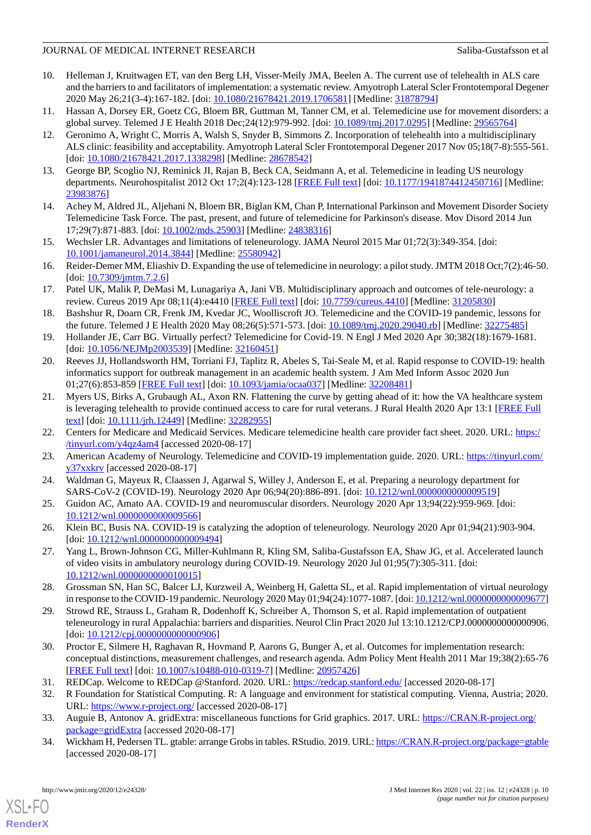- <span id="page-9-14"></span>10. Helleman J, Kruitwagen ET, van den Berg LH, Visser-Meily JMA, Beelen A. The current use of telehealth in ALS care and the barriers to and facilitators of implementation: a systematic review. Amyotroph Lateral Scler Frontotemporal Degener 2020 May 26;21(3-4):167-182. [doi: [10.1080/21678421.2019.1706581](http://dx.doi.org/10.1080/21678421.2019.1706581)] [Medline: [31878794](http://www.ncbi.nlm.nih.gov/entrez/query.fcgi?cmd=Retrieve&db=PubMed&list_uids=31878794&dopt=Abstract)]
- <span id="page-9-15"></span><span id="page-9-1"></span>11. Hassan A, Dorsey ER, Goetz CG, Bloem BR, Guttman M, Tanner CM, et al. Telemedicine use for movement disorders: a global survey. Telemed J E Health 2018 Dec;24(12):979-992. [doi: [10.1089/tmj.2017.0295\]](http://dx.doi.org/10.1089/tmj.2017.0295) [Medline: [29565764\]](http://www.ncbi.nlm.nih.gov/entrez/query.fcgi?cmd=Retrieve&db=PubMed&list_uids=29565764&dopt=Abstract)
- 12. Geronimo A, Wright C, Morris A, Walsh S, Snyder B, Simmons Z. Incorporation of telehealth into a multidisciplinary ALS clinic: feasibility and acceptability. Amyotroph Lateral Scler Frontotemporal Degener 2017 Nov 05;18(7-8):555-561. [doi: [10.1080/21678421.2017.1338298](http://dx.doi.org/10.1080/21678421.2017.1338298)] [Medline: [28678542\]](http://www.ncbi.nlm.nih.gov/entrez/query.fcgi?cmd=Retrieve&db=PubMed&list_uids=28678542&dopt=Abstract)
- <span id="page-9-17"></span><span id="page-9-0"></span>13. George BP, Scoglio NJ, Reminick JI, Rajan B, Beck CA, Seidmann A, et al. Telemedicine in leading US neurology departments. Neurohospitalist 2012 Oct 17;2(4):123-128 [[FREE Full text](http://europepmc.org/abstract/MED/23983876)] [doi: [10.1177/1941874412450716\]](http://dx.doi.org/10.1177/1941874412450716) [Medline: [23983876](http://www.ncbi.nlm.nih.gov/entrez/query.fcgi?cmd=Retrieve&db=PubMed&list_uids=23983876&dopt=Abstract)]
- 14. Achey M, Aldred JL, Aljehani N, Bloem BR, Biglan KM, Chan P, International Parkinson and Movement Disorder Society Telemedicine Task Force. The past, present, and future of telemedicine for Parkinson's disease. Mov Disord 2014 Jun 17;29(7):871-883. [doi: [10.1002/mds.25903\]](http://dx.doi.org/10.1002/mds.25903) [Medline: [24838316\]](http://www.ncbi.nlm.nih.gov/entrez/query.fcgi?cmd=Retrieve&db=PubMed&list_uids=24838316&dopt=Abstract)
- 15. Wechsler LR. Advantages and limitations of teleneurology. JAMA Neurol 2015 Mar 01;72(3):349-354. [doi: [10.1001/jamaneurol.2014.3844\]](http://dx.doi.org/10.1001/jamaneurol.2014.3844) [Medline: [25580942\]](http://www.ncbi.nlm.nih.gov/entrez/query.fcgi?cmd=Retrieve&db=PubMed&list_uids=25580942&dopt=Abstract)
- <span id="page-9-2"></span>16. Reider-Demer MM, Eliashiv D. Expanding the use of telemedicine in neurology: a pilot study. JMTM 2018 Oct;7(2):46-50. [doi: [10.7309/jmtm.7.2.6\]](http://dx.doi.org/10.7309/jmtm.7.2.6)
- <span id="page-9-3"></span>17. Patel UK, Malik P, DeMasi M, Lunagariya A, Jani VB. Multidisciplinary approach and outcomes of tele-neurology: a review. Cureus 2019 Apr 08;11(4):e4410 [\[FREE Full text\]](http://europepmc.org/abstract/MED/31205830) [doi: [10.7759/cureus.4410\]](http://dx.doi.org/10.7759/cureus.4410) [Medline: [31205830\]](http://www.ncbi.nlm.nih.gov/entrez/query.fcgi?cmd=Retrieve&db=PubMed&list_uids=31205830&dopt=Abstract)
- 18. Bashshur R, Doarn CR, Frenk JM, Kvedar JC, Woolliscroft JO. Telemedicine and the COVID-19 pandemic, lessons for the future. Telemed J E Health 2020 May 08;26(5):571-573. [doi: [10.1089/tmj.2020.29040.rb\]](http://dx.doi.org/10.1089/tmj.2020.29040.rb) [Medline: [32275485\]](http://www.ncbi.nlm.nih.gov/entrez/query.fcgi?cmd=Retrieve&db=PubMed&list_uids=32275485&dopt=Abstract)
- 19. Hollander JE, Carr BG. Virtually perfect? Telemedicine for Covid-19. N Engl J Med 2020 Apr 30;382(18):1679-1681. [doi: [10.1056/NEJMp2003539](http://dx.doi.org/10.1056/NEJMp2003539)] [Medline: [32160451](http://www.ncbi.nlm.nih.gov/entrez/query.fcgi?cmd=Retrieve&db=PubMed&list_uids=32160451&dopt=Abstract)]
- <span id="page-9-4"></span>20. Reeves JJ, Hollandsworth HM, Torriani FJ, Taplitz R, Abeles S, Tai-Seale M, et al. Rapid response to COVID-19: health informatics support for outbreak management in an academic health system. J Am Med Inform Assoc 2020 Jun 01;27(6):853-859 [[FREE Full text](http://europepmc.org/abstract/MED/32208481)] [doi: [10.1093/jamia/ocaa037](http://dx.doi.org/10.1093/jamia/ocaa037)] [Medline: [32208481\]](http://www.ncbi.nlm.nih.gov/entrez/query.fcgi?cmd=Retrieve&db=PubMed&list_uids=32208481&dopt=Abstract)
- <span id="page-9-6"></span><span id="page-9-5"></span>21. Myers US, Birks A, Grubaugh AL, Axon RN. Flattening the curve by getting ahead of it: how the VA healthcare system is leveraging telehealth to provide continued access to care for rural veterans. J Rural Health 2020 Apr 13:1 [\[FREE Full](http://europepmc.org/abstract/MED/32282955) [text](http://europepmc.org/abstract/MED/32282955)] [doi: [10.1111/jrh.12449](http://dx.doi.org/10.1111/jrh.12449)] [Medline: [32282955](http://www.ncbi.nlm.nih.gov/entrez/query.fcgi?cmd=Retrieve&db=PubMed&list_uids=32282955&dopt=Abstract)]
- <span id="page-9-7"></span>22. Centers for Medicare and Medicaid Services. Medicare telemedicine health care provider fact sheet. 2020. URL: [https:/](https://tinyurl.com/y4qz4am4) [/tinyurl.com/y4qz4am4](https://tinyurl.com/y4qz4am4) [accessed 2020-08-17]
- 23. American Academy of Neurology. Telemedicine and COVID-19 implementation guide. 2020. URL: [https://tinyurl.com/](https://tinyurl.com/y37xxkrv) [y37xxkrv](https://tinyurl.com/y37xxkrv) [accessed 2020-08-17]
- 24. Waldman G, Mayeux R, Claassen J, Agarwal S, Willey J, Anderson E, et al. Preparing a neurology department for SARS-CoV-2 (COVID-19). Neurology 2020 Apr 06;94(20):886-891. [doi: [10.1212/wnl.0000000000009519](http://dx.doi.org/10.1212/wnl.0000000000009519)]
- <span id="page-9-9"></span>25. Guidon AC, Amato AA. COVID-19 and neuromuscular disorders. Neurology 2020 Apr 13;94(22):959-969. [doi: [10.1212/wnl.0000000000009566](http://dx.doi.org/10.1212/wnl.0000000000009566)]
- <span id="page-9-16"></span>26. Klein BC, Busis NA. COVID-19 is catalyzing the adoption of teleneurology. Neurology 2020 Apr 01;94(21):903-904. [doi: [10.1212/wnl.0000000000009494\]](http://dx.doi.org/10.1212/wnl.0000000000009494)
- <span id="page-9-8"></span>27. Yang L, Brown-Johnson CG, Miller-Kuhlmann R, Kling SM, Saliba-Gustafsson EA, Shaw JG, et al. Accelerated launch of video visits in ambulatory neurology during COVID-19. Neurology 2020 Jul 01;95(7):305-311. [doi: [10.1212/wnl.0000000000010015](http://dx.doi.org/10.1212/wnl.0000000000010015)]
- <span id="page-9-10"></span>28. Grossman SN, Han SC, Balcer LJ, Kurzweil A, Weinberg H, Galetta SL, et al. Rapid implementation of virtual neurology in response to the COVID-19 pandemic. Neurology 2020 May 01;94(24):1077-1087. [doi: [10.1212/wnl.0000000000009677\]](http://dx.doi.org/10.1212/wnl.0000000000009677)
- <span id="page-9-12"></span><span id="page-9-11"></span>29. Strowd RE, Strauss L, Graham R, Dodenhoff K, Schreiber A, Thomson S, et al. Rapid implementation of outpatient teleneurology in rural Appalachia: barriers and disparities. Neurol Clin Pract 2020 Jul 13:10.1212/CPJ.0000000000000906. [doi: 10.1212/cpj.00000000000000906]
- <span id="page-9-13"></span>30. Proctor E, Silmere H, Raghavan R, Hovmand P, Aarons G, Bunger A, et al. Outcomes for implementation research: conceptual distinctions, measurement challenges, and research agenda. Adm Policy Ment Health 2011 Mar 19;38(2):65-76 [[FREE Full text](http://europepmc.org/abstract/MED/20957426)] [doi: [10.1007/s10488-010-0319-7\]](http://dx.doi.org/10.1007/s10488-010-0319-7) [Medline: [20957426](http://www.ncbi.nlm.nih.gov/entrez/query.fcgi?cmd=Retrieve&db=PubMed&list_uids=20957426&dopt=Abstract)]
- 31. REDCap. Welcome to REDCap @Stanford. 2020. URL: <https://redcap.stanford.edu/> [accessed 2020-08-17]
- 32. R Foundation for Statistical Computing. R: A language and environment for statistical computing. Vienna, Austria; 2020. URL: <https://www.r-project.org/> [accessed 2020-08-17]
- 33. Auguie B, Antonov A. gridExtra: miscellaneous functions for Grid graphics. 2017. URL: [https://CRAN.R-project.org/](https://CRAN.R-project.org/package=gridExtra) [package=gridExtra](https://CRAN.R-project.org/package=gridExtra) [accessed 2020-08-17]
- 34. Wickham H, Pedersen TL. gtable: arrange Grobs in tables. RStudio. 2019. URL:<https://CRAN.R-project.org/package=gtable> [accessed 2020-08-17]

[XSL](http://www.w3.org/Style/XSL)•FO **[RenderX](http://www.renderx.com/)**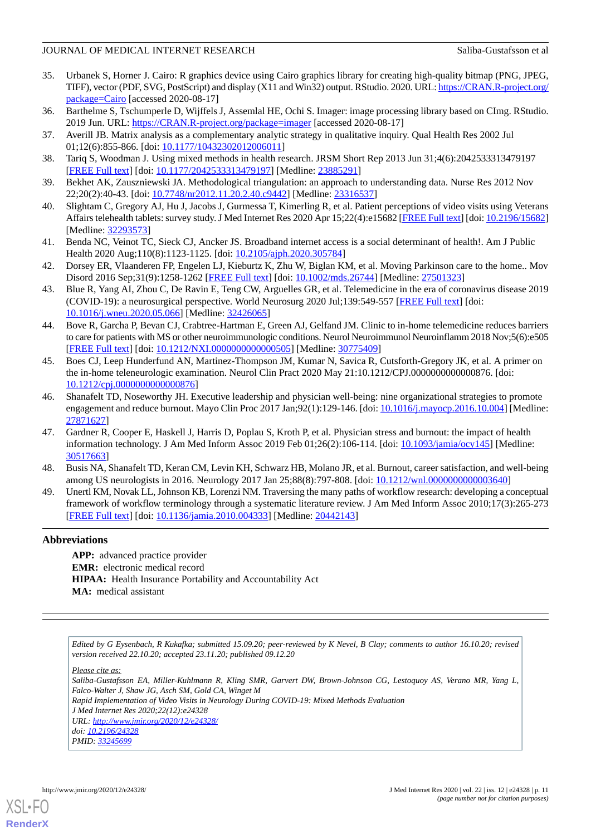- 35. Urbanek S, Horner J. Cairo: R graphics device using Cairo graphics library for creating high-quality bitmap (PNG, JPEG, TIFF), vector (PDF, SVG, PostScript) and display (X11 and Win32) output. RStudio. 2020. URL: [https://CRAN.R-project.org/](https://CRAN.R-project.org/package=Cairo) [package=Cairo](https://CRAN.R-project.org/package=Cairo) [accessed 2020-08-17]
- <span id="page-10-1"></span><span id="page-10-0"></span>36. Barthelme S, Tschumperle D, Wijffels J, Assemlal HE, Ochi S. Imager: image processing library based on CImg. RStudio. 2019 Jun. URL:<https://CRAN.R-project.org/package=imager> [accessed 2020-08-17]
- <span id="page-10-2"></span>37. Averill JB. Matrix analysis as a complementary analytic strategy in qualitative inquiry. Qual Health Res 2002 Jul 01;12(6):855-866. [doi: [10.1177/10432302012006011\]](http://dx.doi.org/10.1177/10432302012006011)
- <span id="page-10-3"></span>38. Tariq S, Woodman J. Using mixed methods in health research. JRSM Short Rep 2013 Jun 31;4(6):2042533313479197 [[FREE Full text](https://journals.sagepub.com/doi/10.1177/2042533313479197?url_ver=Z39.88-2003&rfr_id=ori:rid:crossref.org&rfr_dat=cr_pub%3dpubmed)] [doi: [10.1177/2042533313479197\]](http://dx.doi.org/10.1177/2042533313479197) [Medline: [23885291](http://www.ncbi.nlm.nih.gov/entrez/query.fcgi?cmd=Retrieve&db=PubMed&list_uids=23885291&dopt=Abstract)]
- <span id="page-10-4"></span>39. Bekhet AK, Zauszniewski JA. Methodological triangulation: an approach to understanding data. Nurse Res 2012 Nov 22;20(2):40-43. [doi: [10.7748/nr2012.11.20.2.40.c9442](http://dx.doi.org/10.7748/nr2012.11.20.2.40.c9442)] [Medline: [23316537\]](http://www.ncbi.nlm.nih.gov/entrez/query.fcgi?cmd=Retrieve&db=PubMed&list_uids=23316537&dopt=Abstract)
- <span id="page-10-5"></span>40. Slightam C, Gregory AJ, Hu J, Jacobs J, Gurmessa T, Kimerling R, et al. Patient perceptions of video visits using Veterans Affairs telehealth tablets: survey study. J Med Internet Res 2020 Apr 15;22(4):e15682 [\[FREE Full text](https://www.jmir.org/2020/4/e15682/)] [doi: [10.2196/15682\]](http://dx.doi.org/10.2196/15682) [Medline: [32293573](http://www.ncbi.nlm.nih.gov/entrez/query.fcgi?cmd=Retrieve&db=PubMed&list_uids=32293573&dopt=Abstract)]
- <span id="page-10-6"></span>41. Benda NC, Veinot TC, Sieck CJ, Ancker JS. Broadband internet access is a social determinant of health!. Am J Public Health 2020 Aug;110(8):1123-1125. [doi: [10.2105/ajph.2020.305784\]](http://dx.doi.org/10.2105/ajph.2020.305784)
- <span id="page-10-7"></span>42. Dorsey ER, Vlaanderen FP, Engelen LJ, Kieburtz K, Zhu W, Biglan KM, et al. Moving Parkinson care to the home.. Mov Disord 2016 Sep;31(9):1258-1262 [\[FREE Full text](http://europepmc.org/abstract/MED/27501323)] [doi: [10.1002/mds.26744](http://dx.doi.org/10.1002/mds.26744)] [Medline: [27501323\]](http://www.ncbi.nlm.nih.gov/entrez/query.fcgi?cmd=Retrieve&db=PubMed&list_uids=27501323&dopt=Abstract)
- <span id="page-10-8"></span>43. Blue R, Yang AI, Zhou C, De Ravin E, Teng CW, Arguelles GR, et al. Telemedicine in the era of coronavirus disease 2019 (COVID-19): a neurosurgical perspective. World Neurosurg 2020 Jul;139:549-557 [\[FREE Full text\]](http://europepmc.org/abstract/MED/32426065) [doi: [10.1016/j.wneu.2020.05.066](http://dx.doi.org/10.1016/j.wneu.2020.05.066)] [Medline: [32426065](http://www.ncbi.nlm.nih.gov/entrez/query.fcgi?cmd=Retrieve&db=PubMed&list_uids=32426065&dopt=Abstract)]
- <span id="page-10-9"></span>44. Bove R, Garcha P, Bevan CJ, Crabtree-Hartman E, Green AJ, Gelfand JM. Clinic to in-home telemedicine reduces barriers to care for patients with MS or other neuroimmunologic conditions. Neurol Neuroimmunol Neuroinflamm 2018 Nov;5(6):e505 [[FREE Full text](http://nn.neurology.org/cgi/pmidlookup?view=long&pmid=30775409)] [doi: [10.1212/NXI.0000000000000505](http://dx.doi.org/10.1212/NXI.0000000000000505)] [Medline: [30775409\]](http://www.ncbi.nlm.nih.gov/entrez/query.fcgi?cmd=Retrieve&db=PubMed&list_uids=30775409&dopt=Abstract)
- <span id="page-10-10"></span>45. Boes CJ, Leep Hunderfund AN, Martinez-Thompson JM, Kumar N, Savica R, Cutsforth-Gregory JK, et al. A primer on the in-home teleneurologic examination. Neurol Clin Pract 2020 May 21:10.1212/CPJ.0000000000000876. [doi: [10.1212/cpj.0000000000000876](http://dx.doi.org/10.1212/cpj.0000000000000876)]
- <span id="page-10-11"></span>46. Shanafelt TD, Noseworthy JH. Executive leadership and physician well-being: nine organizational strategies to promote engagement and reduce burnout. Mayo Clin Proc 2017 Jan;92(1):129-146. [doi: [10.1016/j.mayocp.2016.10.004](http://dx.doi.org/10.1016/j.mayocp.2016.10.004)] [Medline: [27871627](http://www.ncbi.nlm.nih.gov/entrez/query.fcgi?cmd=Retrieve&db=PubMed&list_uids=27871627&dopt=Abstract)]
- <span id="page-10-13"></span><span id="page-10-12"></span>47. Gardner R, Cooper E, Haskell J, Harris D, Poplau S, Kroth P, et al. Physician stress and burnout: the impact of health information technology. J Am Med Inform Assoc 2019 Feb 01;26(2):106-114. [doi: [10.1093/jamia/ocy145\]](http://dx.doi.org/10.1093/jamia/ocy145) [Medline: [30517663](http://www.ncbi.nlm.nih.gov/entrez/query.fcgi?cmd=Retrieve&db=PubMed&list_uids=30517663&dopt=Abstract)]
- 48. Busis NA, Shanafelt TD, Keran CM, Levin KH, Schwarz HB, Molano JR, et al. Burnout, career satisfaction, and well-being among US neurologists in 2016. Neurology 2017 Jan 25;88(8):797-808. [doi: [10.1212/wnl.0000000000003640\]](http://dx.doi.org/10.1212/wnl.0000000000003640)
- 49. Unertl KM, Novak LL, Johnson KB, Lorenzi NM. Traversing the many paths of workflow research: developing a conceptual framework of workflow terminology through a systematic literature review. J Am Med Inform Assoc 2010;17(3):265-273 [[FREE Full text](http://europepmc.org/abstract/MED/20442143)] [doi: [10.1136/jamia.2010.004333\]](http://dx.doi.org/10.1136/jamia.2010.004333) [Medline: [20442143\]](http://www.ncbi.nlm.nih.gov/entrez/query.fcgi?cmd=Retrieve&db=PubMed&list_uids=20442143&dopt=Abstract)

# **Abbreviations**

**APP:** advanced practice provider **EMR:** electronic medical record **HIPAA:** Health Insurance Portability and Accountability Act **MA:** medical assistant

*Edited by G Eysenbach, R Kukafka; submitted 15.09.20; peer-reviewed by K Nevel, B Clay; comments to author 16.10.20; revised version received 22.10.20; accepted 23.11.20; published 09.12.20*

*Please cite as:*

*Saliba-Gustafsson EA, Miller-Kuhlmann R, Kling SMR, Garvert DW, Brown-Johnson CG, Lestoquoy AS, Verano MR, Yang L, Falco-Walter J, Shaw JG, Asch SM, Gold CA, Winget M Rapid Implementation of Video Visits in Neurology During COVID-19: Mixed Methods Evaluation*

*J Med Internet Res 2020;22(12):e24328*

*URL: <http://www.jmir.org/2020/12/e24328/>*

*doi: [10.2196/24328](http://dx.doi.org/10.2196/24328) PMID: [33245699](http://www.ncbi.nlm.nih.gov/entrez/query.fcgi?cmd=Retrieve&db=PubMed&list_uids=33245699&dopt=Abstract)*

[XSL](http://www.w3.org/Style/XSL)•FO **[RenderX](http://www.renderx.com/)**